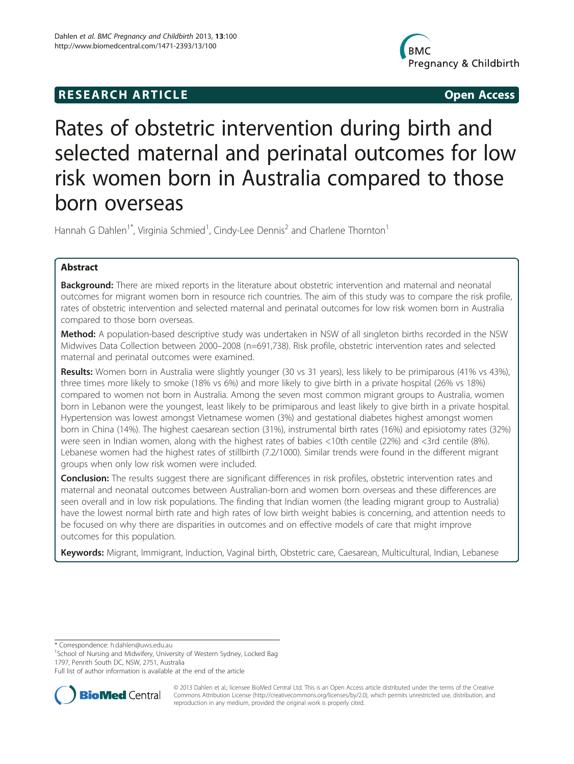# **RESEARCH ARTICLE Example 20 and 20 and 20 and 20 and 20 and 20 and 20 and 20 and 20 and 20 and 20 and 20 and 20 and 20 and 20 and 20 and 20 and 20 and 20 and 20 and 20 and 20 and 20 and 20 and 20 and 20 and 20 and 20 an**



# Rates of obstetric intervention during birth and selected maternal and perinatal outcomes for low risk women born in Australia compared to those born overseas

Hannah G Dahlen<sup>1\*</sup>, Virginia Schmied<sup>1</sup>, Cindy-Lee Dennis<sup>2</sup> and Charlene Thornton<sup>1</sup>

# Abstract

**Background:** There are mixed reports in the literature about obstetric intervention and maternal and neonatal outcomes for migrant women born in resource rich countries. The aim of this study was to compare the risk profile, rates of obstetric intervention and selected maternal and perinatal outcomes for low risk women born in Australia compared to those born overseas.

Method: A population-based descriptive study was undertaken in NSW of all singleton births recorded in the NSW Midwives Data Collection between 2000–2008 (n=691,738). Risk profile, obstetric intervention rates and selected maternal and perinatal outcomes were examined.

Results: Women born in Australia were slightly younger (30 vs 31 years), less likely to be primiparous (41% vs 43%), three times more likely to smoke (18% vs 6%) and more likely to give birth in a private hospital (26% vs 18%) compared to women not born in Australia. Among the seven most common migrant groups to Australia, women born in Lebanon were the youngest, least likely to be primiparous and least likely to give birth in a private hospital. Hypertension was lowest amongst Vietnamese women (3%) and gestational diabetes highest amongst women born in China (14%). The highest caesarean section (31%), instrumental birth rates (16%) and episiotomy rates (32%) were seen in Indian women, along with the highest rates of babies <10th centile (22%) and <3rd centile (8%). Lebanese women had the highest rates of stillbirth (7.2/1000). Similar trends were found in the different migrant groups when only low risk women were included.

**Conclusion:** The results suggest there are significant differences in risk profiles, obstetric intervention rates and maternal and neonatal outcomes between Australian-born and women born overseas and these differences are seen overall and in low risk populations. The finding that Indian women (the leading migrant group to Australia) have the lowest normal birth rate and high rates of low birth weight babies is concerning, and attention needs to be focused on why there are disparities in outcomes and on effective models of care that might improve outcomes for this population.

Keywords: Migrant, Immigrant, Induction, Vaginal birth, Obstetric care, Caesarean, Multicultural, Indian, Lebanese

\* Correspondence: [h.dahlen@uws.edu.au](mailto:h.dahlen@uws.edu.au) <sup>1</sup>

<sup>1</sup>School of Nursing and Midwifery, University of Western Sydney, Locked Bag 1797, Penrith South DC, NSW, 2751, Australia

Full list of author information is available at the end of the article



© 2013 Dahlen et al.; licensee BioMed Central Ltd. This is an Open Access article distributed under the terms of the Creative Commons Attribution License [\(http://creativecommons.org/licenses/by/2.0\)](http://creativecommons.org/licenses/by/2.0), which permits unrestricted use, distribution, and reproduction in any medium, provided the original work is properly cited.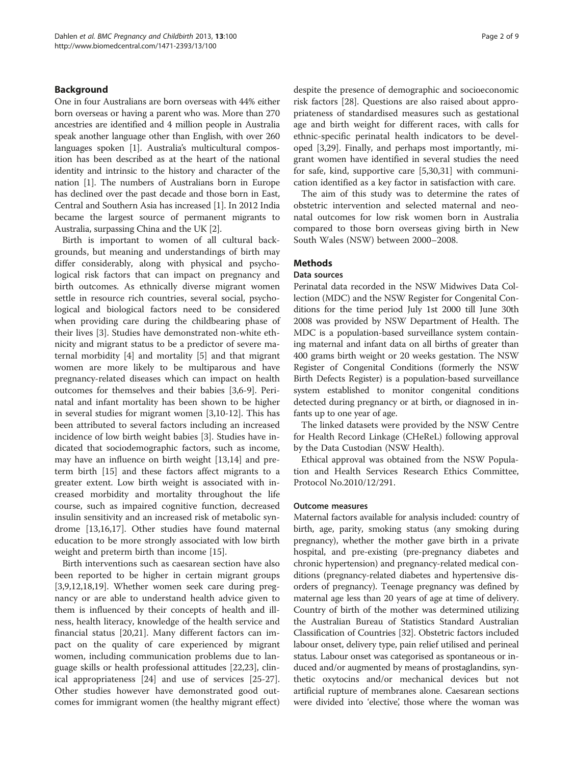# Background

One in four Australians are born overseas with 44% either born overseas or having a parent who was. More than 270 ancestries are identified and 4 million people in Australia speak another language other than English, with over 260 languages spoken [\[1](#page-7-0)]. Australia's multicultural composition has been described as at the heart of the national identity and intrinsic to the history and character of the nation [[1\]](#page-7-0). The numbers of Australians born in Europe has declined over the past decade and those born in East, Central and Southern Asia has increased [[1](#page-7-0)]. In 2012 India became the largest source of permanent migrants to Australia, surpassing China and the UK [\[2](#page-7-0)].

Birth is important to women of all cultural backgrounds, but meaning and understandings of birth may differ considerably, along with physical and psychological risk factors that can impact on pregnancy and birth outcomes. As ethnically diverse migrant women settle in resource rich countries, several social, psychological and biological factors need to be considered when providing care during the childbearing phase of their lives [[3\]](#page-7-0). Studies have demonstrated non-white ethnicity and migrant status to be a predictor of severe maternal morbidity [[4](#page-7-0)] and mortality [\[5](#page-7-0)] and that migrant women are more likely to be multiparous and have pregnancy-related diseases which can impact on health outcomes for themselves and their babies [[3,6-9](#page-7-0)]. Perinatal and infant mortality has been shown to be higher in several studies for migrant women [[3,10-12](#page-7-0)]. This has been attributed to several factors including an increased incidence of low birth weight babies [[3\]](#page-7-0). Studies have indicated that sociodemographic factors, such as income, may have an influence on birth weight [\[13,14\]](#page-7-0) and preterm birth [[15\]](#page-7-0) and these factors affect migrants to a greater extent. Low birth weight is associated with increased morbidity and mortality throughout the life course, such as impaired cognitive function, decreased insulin sensitivity and an increased risk of metabolic syndrome [\[13,16,17\]](#page-7-0). Other studies have found maternal education to be more strongly associated with low birth weight and preterm birth than income [\[15](#page-7-0)].

Birth interventions such as caesarean section have also been reported to be higher in certain migrant groups [[3,9,12,18,19\]](#page-7-0). Whether women seek care during pregnancy or are able to understand health advice given to them is influenced by their concepts of health and illness, health literacy, knowledge of the health service and financial status [\[20,21\]](#page-7-0). Many different factors can impact on the quality of care experienced by migrant women, including communication problems due to language skills or health professional attitudes [[22](#page-7-0),[23](#page-7-0)], clinical appropriateness [\[24](#page-8-0)] and use of services [\[25-27](#page-8-0)]. Other studies however have demonstrated good outcomes for immigrant women (the healthy migrant effect)

despite the presence of demographic and socioeconomic risk factors [[28](#page-8-0)]. Questions are also raised about appropriateness of standardised measures such as gestational age and birth weight for different races, with calls for ethnic-specific perinatal health indicators to be developed [[3,](#page-7-0)[29\]](#page-8-0). Finally, and perhaps most importantly, migrant women have identified in several studies the need for safe, kind, supportive care [[5,](#page-7-0)[30,31\]](#page-8-0) with communication identified as a key factor in satisfaction with care.

The aim of this study was to determine the rates of obstetric intervention and selected maternal and neonatal outcomes for low risk women born in Australia compared to those born overseas giving birth in New South Wales (NSW) between 2000–2008.

# **Methods**

# Data sources

Perinatal data recorded in the NSW Midwives Data Collection (MDC) and the NSW Register for Congenital Conditions for the time period July 1st 2000 till June 30th 2008 was provided by NSW Department of Health. The MDC is a population-based surveillance system containing maternal and infant data on all births of greater than 400 grams birth weight or 20 weeks gestation. The NSW Register of Congenital Conditions (formerly the NSW Birth Defects Register) is a population-based surveillance system established to monitor congenital conditions detected during pregnancy or at birth, or diagnosed in infants up to one year of age.

The linked datasets were provided by the NSW Centre for Health Record Linkage (CHeReL) following approval by the Data Custodian (NSW Health).

Ethical approval was obtained from the NSW Population and Health Services Research Ethics Committee, Protocol No.2010/12/291.

#### Outcome measures

Maternal factors available for analysis included: country of birth, age, parity, smoking status (any smoking during pregnancy), whether the mother gave birth in a private hospital, and pre-existing (pre-pregnancy diabetes and chronic hypertension) and pregnancy-related medical conditions (pregnancy-related diabetes and hypertensive disorders of pregnancy). Teenage pregnancy was defined by maternal age less than 20 years of age at time of delivery. Country of birth of the mother was determined utilizing the Australian Bureau of Statistics Standard Australian Classification of Countries [[32](#page-8-0)]. Obstetric factors included labour onset, delivery type, pain relief utilised and perineal status. Labour onset was categorised as spontaneous or induced and/or augmented by means of prostaglandins, synthetic oxytocins and/or mechanical devices but not artificial rupture of membranes alone. Caesarean sections were divided into 'elective', those where the woman was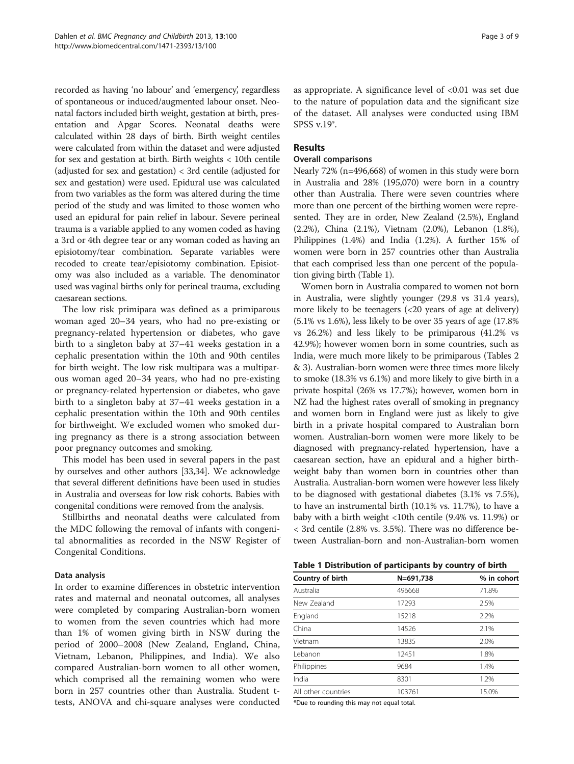recorded as having 'no labour' and 'emergency', regardless of spontaneous or induced/augmented labour onset. Neonatal factors included birth weight, gestation at birth, presentation and Apgar Scores. Neonatal deaths were calculated within 28 days of birth. Birth weight centiles were calculated from within the dataset and were adjusted for sex and gestation at birth. Birth weights < 10th centile (adjusted for sex and gestation) < 3rd centile (adjusted for sex and gestation) were used. Epidural use was calculated from two variables as the form was altered during the time period of the study and was limited to those women who used an epidural for pain relief in labour. Severe perineal trauma is a variable applied to any women coded as having a 3rd or 4th degree tear or any woman coded as having an episiotomy/tear combination. Separate variables were recoded to create tear/episiotomy combination. Episiotomy was also included as a variable. The denominator used was vaginal births only for perineal trauma, excluding caesarean sections.

The low risk primipara was defined as a primiparous woman aged 20–34 years, who had no pre-existing or pregnancy-related hypertension or diabetes, who gave birth to a singleton baby at 37–41 weeks gestation in a cephalic presentation within the 10th and 90th centiles for birth weight. The low risk multipara was a multiparous woman aged 20–34 years, who had no pre-existing or pregnancy-related hypertension or diabetes, who gave birth to a singleton baby at 37–41 weeks gestation in a cephalic presentation within the 10th and 90th centiles for birthweight. We excluded women who smoked during pregnancy as there is a strong association between poor pregnancy outcomes and smoking.

This model has been used in several papers in the past by ourselves and other authors [\[33,34](#page-8-0)]. We acknowledge that several different definitions have been used in studies in Australia and overseas for low risk cohorts. Babies with congenital conditions were removed from the analysis.

Stillbirths and neonatal deaths were calculated from the MDC following the removal of infants with congenital abnormalities as recorded in the NSW Register of Congenital Conditions.

# Data analysis

In order to examine differences in obstetric intervention rates and maternal and neonatal outcomes, all analyses were completed by comparing Australian-born women to women from the seven countries which had more than 1% of women giving birth in NSW during the period of 2000–2008 (New Zealand, England, China, Vietnam, Lebanon, Philippines, and India). We also compared Australian-born women to all other women, which comprised all the remaining women who were born in 257 countries other than Australia. Student ttests, ANOVA and chi-square analyses were conducted as appropriate. A significance level of <0.01 was set due to the nature of population data and the significant size of the dataset. All analyses were conducted using IBM SPSS v.19®.

# Results

# Overall comparisons

Nearly 72% (n=496,668) of women in this study were born in Australia and 28% (195,070) were born in a country other than Australia. There were seven countries where more than one percent of the birthing women were represented. They are in order, New Zealand (2.5%), England (2.2%), China (2.1%), Vietnam (2.0%), Lebanon (1.8%), Philippines (1.4%) and India (1.2%). A further 15% of women were born in 257 countries other than Australia that each comprised less than one percent of the population giving birth (Table 1).

Women born in Australia compared to women not born in Australia, were slightly younger (29.8 vs 31.4 years), more likely to be teenagers (<20 years of age at delivery) (5.1% vs 1.6%), less likely to be over 35 years of age (17.8% vs 26.2%) and less likely to be primiparous (41.2% vs 42.9%); however women born in some countries, such as India, were much more likely to be primiparous (Tables [2](#page-3-0) & [3](#page-4-0)). Australian-born women were three times more likely to smoke (18.3% vs 6.1%) and more likely to give birth in a private hospital (26% vs 17.7%); however, women born in NZ had the highest rates overall of smoking in pregnancy and women born in England were just as likely to give birth in a private hospital compared to Australian born women. Australian-born women were more likely to be diagnosed with pregnancy-related hypertension, have a caesarean section, have an epidural and a higher birthweight baby than women born in countries other than Australia. Australian-born women were however less likely to be diagnosed with gestational diabetes (3.1% vs 7.5%), to have an instrumental birth (10.1% vs. 11.7%), to have a baby with a birth weight <10th centile (9.4% vs. 11.9%) or < 3rd centile (2.8% vs. 3.5%). There was no difference between Australian-born and non-Australian-born women

|  | Table 1 Distribution of participants by country of birth |  |  |  |  |  |
|--|----------------------------------------------------------|--|--|--|--|--|
|--|----------------------------------------------------------|--|--|--|--|--|

| Country of birth    | N=691,738 | % in cohort |
|---------------------|-----------|-------------|
| Australia           | 496668    | 71.8%       |
| New Zealand         | 17293     | 2.5%        |
| England             | 15218     | 2.2%        |
| China               | 14526     | 2.1%        |
| Vietnam             | 13835     | 2.0%        |
| I ebanon            | 12451     | 1.8%        |
| Philippines         | 9684      | 1.4%        |
| India               | 8301      | 1.2%        |
| All other countries | 103761    | 15.0%       |

\*Due to rounding this may not equal total.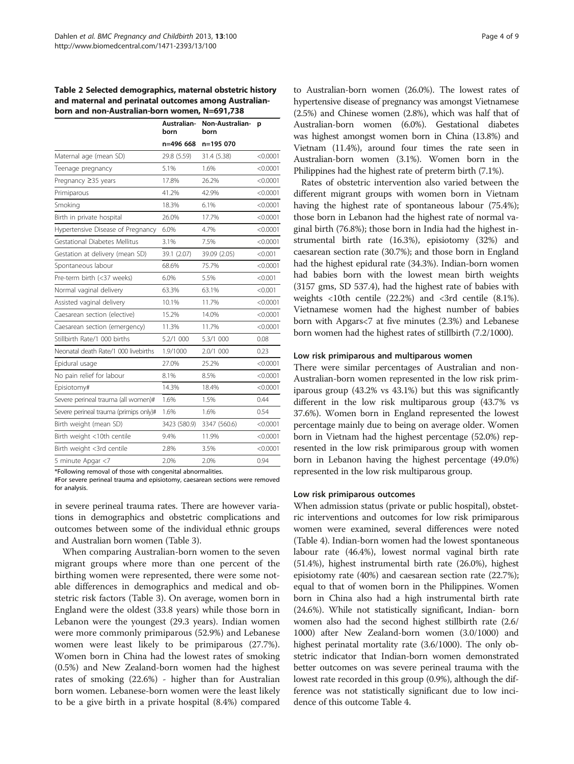<span id="page-3-0"></span>Table 2 Selected demographics, maternal obstetric history and maternal and perinatal outcomes among Australianborn and non-Australian-born women, N=691,738

|                                        | Australian-<br>born | Non-Australian-<br>born | p        |
|----------------------------------------|---------------------|-------------------------|----------|
|                                        | n=496 668           | n=195 070               |          |
| Maternal age (mean SD)                 | 29.8 (5.59)         | 31.4 (5.38)             | < 0.0001 |
| Teenage pregnancy                      | 5.1%                | 1.6%                    | < 0.0001 |
| Pregnancy ≥35 years                    | 17.8%               | 26.2%                   | < 0.0001 |
| Primiparous                            | 41.2%               | 42.9%                   | < 0.0001 |
| Smoking                                | 18.3%               | 6.1%                    | < 0.0001 |
| Birth in private hospital              | 26.0%               | 17.7%                   | < 0.0001 |
| Hypertensive Disease of Pregnancy      | 6.0%                | 4.7%                    | < 0.0001 |
| Gestational Diabetes Mellitus          | 3.1%                | 7.5%                    | < 0.0001 |
| Gestation at delivery (mean SD)        | 39.1 (2.07)         | 39.09 (2.05)            | < 0.001  |
| Spontaneous labour                     | 68.6%               | 75.7%                   | < 0.0001 |
| Pre-term birth (<37 weeks)             | 6.0%                | 5.5%                    | < 0.001  |
| Normal vaginal delivery                | 63.3%               | 63.1%                   | < 0.001  |
| Assisted vaginal delivery              | 10.1%               | 11.7%                   | < 0.0001 |
| Caesarean section (elective)           | 15.2%               | 14.0%                   | < 0.0001 |
| Caesarean section (emergency)          | 11.3%               | 11.7%                   | < 0.0001 |
| Stillbirth Rate/1 000 births           | 5.2/1 000           | 5.3/1 000               | 0.08     |
| Neonatal death Rate/1 000 livebirths   | 1.9/1000            | 2.0/1 000               | 0.23     |
| Epidural usage                         | 27.0%               | 25.2%                   | < 0.0001 |
| No pain relief for labour              | 8.1%                | 8.5%                    | < 0.0001 |
| Episiotomy#                            | 14.3%               | 18.4%                   | < 0.0001 |
| Severe perineal trauma (all women)#    | 1.6%                | 1.5%                    | 0.44     |
| Severe perineal trauma (primips only)# | 1.6%                | 1.6%                    | 0.54     |
| Birth weight (mean SD)                 | 3423 (580.9)        | 3347 (560.6)            | < 0.0001 |
| Birth weight <10th centile             | 9.4%                | 11.9%                   | < 0.0001 |
| Birth weight <3rd centile              | 2.8%                | 3.5%                    | < 0.0001 |
| 5 minute Apgar <7                      | 2.0%                | 2.0%                    | 0.94     |

\*Following removal of those with congenital abnormalities.

#For severe perineal trauma and episiotomy, caesarean sections were removed for analysis.

in severe perineal trauma rates. There are however variations in demographics and obstetric complications and outcomes between some of the individual ethnic groups and Australian born women (Table [3\)](#page-4-0).

When comparing Australian-born women to the seven migrant groups where more than one percent of the birthing women were represented, there were some notable differences in demographics and medical and obstetric risk factors (Table [3\)](#page-4-0). On average, women born in England were the oldest (33.8 years) while those born in Lebanon were the youngest (29.3 years). Indian women were more commonly primiparous (52.9%) and Lebanese women were least likely to be primiparous (27.7%). Women born in China had the lowest rates of smoking (0.5%) and New Zealand-born women had the highest rates of smoking (22.6%) - higher than for Australian born women. Lebanese-born women were the least likely to be a give birth in a private hospital (8.4%) compared to Australian-born women (26.0%). The lowest rates of hypertensive disease of pregnancy was amongst Vietnamese (2.5%) and Chinese women (2.8%), which was half that of Australian-born women (6.0%). Gestational diabetes was highest amongst women born in China (13.8%) and Vietnam (11.4%), around four times the rate seen in Australian-born women (3.1%). Women born in the Philippines had the highest rate of preterm birth (7.1%).

Rates of obstetric intervention also varied between the different migrant groups with women born in Vietnam having the highest rate of spontaneous labour (75.4%); those born in Lebanon had the highest rate of normal vaginal birth (76.8%); those born in India had the highest instrumental birth rate (16.3%), episiotomy (32%) and caesarean section rate (30.7%); and those born in England had the highest epidural rate (34.3%). Indian-born women had babies born with the lowest mean birth weights (3157 gms, SD 537.4), had the highest rate of babies with weights <10th centile (22.2%) and <3rd centile (8.1%). Vietnamese women had the highest number of babies born with Apgars<7 at five minutes (2.3%) and Lebanese born women had the highest rates of stillbirth (7.2/1000).

#### Low risk primiparous and multiparous women

There were similar percentages of Australian and non-Australian-born women represented in the low risk primiparous group (43.2% vs 43.1%) but this was significantly different in the low risk multiparous group (43.7% vs 37.6%). Women born in England represented the lowest percentage mainly due to being on average older. Women born in Vietnam had the highest percentage (52.0%) represented in the low risk primiparous group with women born in Lebanon having the highest percentage (49.0%) represented in the low risk multiparous group.

## Low risk primiparous outcomes

When admission status (private or public hospital), obstetric interventions and outcomes for low risk primiparous women were examined, several differences were noted (Table [4](#page-5-0)). Indian-born women had the lowest spontaneous labour rate (46.4%), lowest normal vaginal birth rate (51.4%), highest instrumental birth rate (26.0%), highest episiotomy rate (40%) and caesarean section rate (22.7%); equal to that of women born in the Philippines. Women born in China also had a high instrumental birth rate (24.6%). While not statistically significant, Indian- born women also had the second highest stillbirth rate (2.6/ 1000) after New Zealand-born women (3.0/1000) and highest perinatal mortality rate (3.6/1000). The only obstetric indicator that Indian-born women demonstrated better outcomes on was severe perineal trauma with the lowest rate recorded in this group (0.9%), although the difference was not statistically significant due to low incidence of this outcome Table [4](#page-5-0).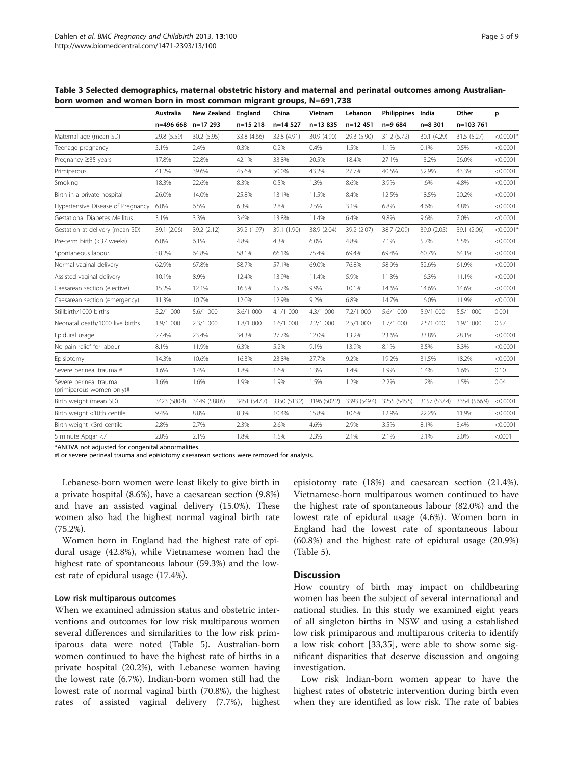|                                                     | Australia<br>n=496 668 |              | New Zealand England |              | China        | Vietnam      | Lebanon      | Philippines India |              | Other       | р |
|-----------------------------------------------------|------------------------|--------------|---------------------|--------------|--------------|--------------|--------------|-------------------|--------------|-------------|---|
|                                                     |                        | n=17 293     | $n=15218$           | $n=14$ 527   | $n=13.835$   | $n=12$ 451   | $n=9684$     | $n = 8,301$       | n=103 761    |             |   |
| Maternal age (mean SD)                              | 29.8 (5.59)            | 30.2 (5.95)  | 33.8 (4.66)         | 32.8 (4.91)  | 30.9 (4.90)  | 29.3 (5.90)  | 31.2 (5.72)  | 30.1 (4.29)       | 31.5 (5.27)  | $< 0.0001*$ |   |
| Teenage pregnancy                                   | 5.1%                   | 2.4%         | 0.3%                | 0.2%         | 0.4%         | 1.5%         | 1.1%         | 0.1%              | 0.5%         | < 0.0001    |   |
| Pregnancy ≥35 years                                 | 17.8%                  | 22.8%        | 42.1%               | 33.8%        | 20.5%        | 18.4%        | 27.1%        | 13.2%             | 26.0%        | < 0.0001    |   |
| Primiparous                                         | 41.2%                  | 39.6%        | 45.6%               | 50.0%        | 43.2%        | 27.7%        | 40.5%        | 52.9%             | 43.3%        | < 0.0001    |   |
| Smoking                                             | 18.3%                  | 22.6%        | 8.3%                | 0.5%         | 1.3%         | 8.6%         | 3.9%         | 1.6%              | 4.8%         | < 0.0001    |   |
| Birth in a private hospital                         | 26.0%                  | 14.0%        | 25.8%               | 13.1%        | 11.5%        | 8.4%         | 12.5%        | 18.5%             | 20.2%        | < 0.0001    |   |
| Hypertensive Disease of Pregnancy                   | 6.0%                   | 6.5%         | 6.3%                | 2.8%         | 2.5%         | 3.1%         | 6.8%         | 4.6%              | 4.8%         | < 0.0001    |   |
| Gestational Diabetes Mellitus                       | 3.1%                   | 3.3%         | 3.6%                | 13.8%        | 11.4%        | 6.4%         | 9.8%         | 9.6%              | 7.0%         | < 0.0001    |   |
| Gestation at delivery (mean SD)                     | 39.1 (2.06)            | 39.2 (2.12)  | 39.2 (1.97)         | 39.1 (1.90)  | 38.9 (2.04)  | 39.2 (2.07)  | 38.7 (2.09)  | 39.0 (2.05)       | 39.1 (2.06)  | $< 0.0001*$ |   |
| Pre-term birth (<37 weeks)                          | 6.0%                   | 6.1%         | 4.8%                | 4.3%         | 6.0%         | 4.8%         | 7.1%         | 5.7%              | 5.5%         | < 0.0001    |   |
| Spontaneous labour                                  | 58.2%                  | 64.8%        | 58.1%               | 66.1%        | 75.4%        | 69.4%        | 69.4%        | 60.7%             | 64.1%        | < 0.0001    |   |
| Normal vaginal delivery                             | 62.9%                  | 67.8%        | 58.7%               | 57.1%        | 69.0%        | 76.8%        | 58.9%        | 52.6%             | 61.9%        | < 0.0001    |   |
| Assisted vaginal delivery                           | 10.1%                  | 8.9%         | 12.4%               | 13.9%        | 11.4%        | 5.9%         | 11.3%        | 16.3%             | 11.1%        | < 0.0001    |   |
| Caesarean section (elective)                        | 15.2%                  | 12.1%        | 16.5%               | 15.7%        | 9.9%         | 10.1%        | 14.6%        | 14.6%             | 14.6%        | < 0.0001    |   |
| Caesarean section (emergency)                       | 11.3%                  | 10.7%        | 12.0%               | 12.9%        | 9.2%         | 6.8%         | 14.7%        | 16.0%             | 11.9%        | < 0.0001    |   |
| Stillbirth/1000 births                              | 5.2/1 000              | 5.6/1 000    | 3.6/1 000           | 4.1/1 000    | 4.3/1 000    | 7.2/1 000    | 5.6/1 000    | 5.9/1 000         | 5.5/1 000    | 0.001       |   |
| Neonatal death/1000 live births                     | 1.9/1 000              | 2.3/1 000    | 1.8/1 000           | 1.6/1 000    | 2.2/1 000    | 2.5/1 000    | 1.7/1 000    | 2.5/1 000         | 1.9/1 000    | 0.57        |   |
| Epidural usage                                      | 27.4%                  | 23.4%        | 34.3%               | 27.7%        | 12.0%        | 13.2%        | 23.6%        | 33.8%             | 28.1%        | < 0.0001    |   |
| No pain relief for labour                           | 8.1%                   | 11.9%        | 6.3%                | 5.2%         | 9.1%         | 13.9%        | 8.1%         | 3.5%              | 8.3%         | < 0.0001    |   |
| Episiotomy                                          | 14.3%                  | 10.6%        | 16.3%               | 23.8%        | 27.7%        | 9.2%         | 19.2%        | 31.5%             | 18.2%        | < 0.0001    |   |
| Severe perineal trauma #                            | 1.6%                   | 1.4%         | 1.8%                | 1.6%         | 1.3%         | 1.4%         | 1.9%         | 1.4%              | 1.6%         | 0.10        |   |
| Severe perineal trauma<br>(primiparous women only)# | 1.6%                   | 1.6%         | 1.9%                | 1.9%         | 1.5%         | 1.2%         | 2.2%         | 1.2%              | 1.5%         | 0.04        |   |
| Birth weight (mean SD)                              | 3423 (580.4)           | 3449 (588.6) | 3451 (547.7)        | 3350 (513.2) | 3196 (502.2) | 3393 (549.4) | 3255 (545.5) | 3157 (537.4)      | 3354 (566.9) | < 0.0001    |   |
| Birth weight <10th centile                          | 9.4%                   | 8.8%         | 8.3%                | 10.4%        | 15.8%        | 10.6%        | 12.9%        | 22.2%             | 11.9%        | < 0.0001    |   |
| Birth weight <3rd centile                           | 2.8%                   | 2.7%         | 2.3%                | 2.6%         | 4.6%         | 2.9%         | 3.5%         | 8.1%              | 3.4%         | < 0.0001    |   |
| 5 minute Apgar <7                                   | 2.0%                   | 2.1%         | 1.8%                | 1.5%         | 2.3%         | 2.1%         | 2.1%         | 2.1%              | 2.0%         | $<$ 0001    |   |

<span id="page-4-0"></span>Table 3 Selected demographics, maternal obstetric history and maternal and perinatal outcomes among Australianborn women and women born in most common migrant groups, N=691,738

\*ANOVA not adjusted for congenital abnormalities.

#For severe perineal trauma and episiotomy caesarean sections were removed for analysis.

Lebanese-born women were least likely to give birth in a private hospital (8.6%), have a caesarean section (9.8%) and have an assisted vaginal delivery (15.0%). These women also had the highest normal vaginal birth rate (75.2%).

Women born in England had the highest rate of epidural usage (42.8%), while Vietnamese women had the highest rate of spontaneous labour (59.3%) and the lowest rate of epidural usage (17.4%).

#### Low risk multiparous outcomes

When we examined admission status and obstetric interventions and outcomes for low risk multiparous women several differences and similarities to the low risk primiparous data were noted (Table [5\)](#page-5-0). Australian-born women continued to have the highest rate of births in a private hospital (20.2%), with Lebanese women having the lowest rate (6.7%). Indian-born women still had the lowest rate of normal vaginal birth (70.8%), the highest rates of assisted vaginal delivery (7.7%), highest

episiotomy rate (18%) and caesarean section (21.4%). Vietnamese-born multiparous women continued to have the highest rate of spontaneous labour (82.0%) and the lowest rate of epidural usage (4.6%). Women born in England had the lowest rate of spontaneous labour (60.8%) and the highest rate of epidural usage (20.9%) (Table [5\)](#page-5-0).

#### **Discussion**

How country of birth may impact on childbearing women has been the subject of several international and national studies. In this study we examined eight years of all singleton births in NSW and using a established low risk primiparous and multiparous criteria to identify a low risk cohort [\[33,35\]](#page-8-0), were able to show some significant disparities that deserve discussion and ongoing investigation.

Low risk Indian-born women appear to have the highest rates of obstetric intervention during birth even when they are identified as low risk. The rate of babies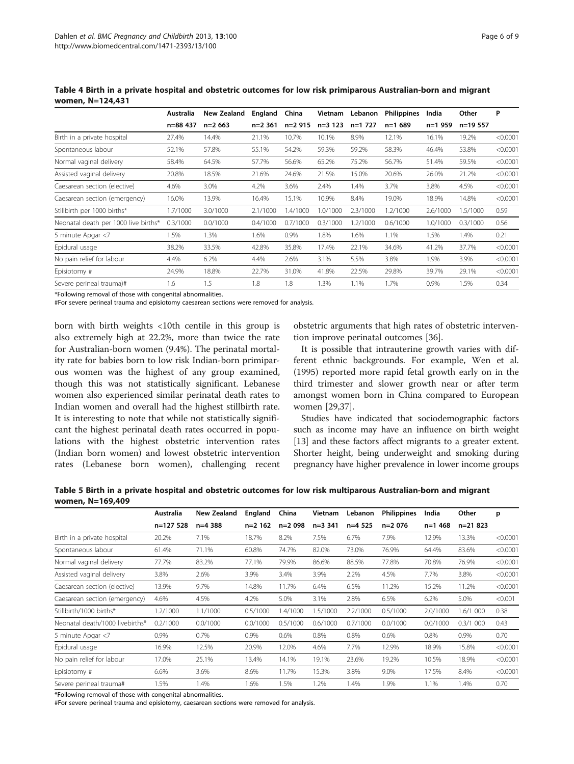|                                      | Australia | New Zealand | England   | China    | Vietnam   | Lebanon   | <b>Philippines</b> | India    | Other      | P        |
|--------------------------------------|-----------|-------------|-----------|----------|-----------|-----------|--------------------|----------|------------|----------|
|                                      | n=88 437  | $n=2663$    | $n=2$ 361 | n=2 915  | $n=3$ 123 | $n=1$ 727 | $n=1689$           | $n=1959$ | $n=19.557$ |          |
| Birth in a private hospital          | 27.4%     | 14.4%       | 21.1%     | 10.7%    | 10.1%     | 8.9%      | 12.1%              | 16.1%    | 19.2%      | < 0.0001 |
| Spontaneous labour                   | 52.1%     | 57.8%       | 55.1%     | 54.2%    | 59.3%     | 59.2%     | 58.3%              | 46.4%    | 53.8%      | < 0.0001 |
| Normal vaginal delivery              | 58.4%     | 64.5%       | 57.7%     | 56.6%    | 65.2%     | 75.2%     | 56.7%              | 51.4%    | 59.5%      | < 0.0001 |
| Assisted vaginal delivery            | 20.8%     | 18.5%       | 21.6%     | 24.6%    | 21.5%     | 15.0%     | 20.6%              | 26.0%    | 21.2%      | < 0.0001 |
| Caesarean section (elective)         | 4.6%      | 3.0%        | 4.2%      | 3.6%     | 2.4%      | 1.4%      | 3.7%               | 3.8%     | 4.5%       | < 0.0001 |
| Caesarean section (emergency)        | 16.0%     | 13.9%       | 16.4%     | 15.1%    | 10.9%     | 8.4%      | 19.0%              | 18.9%    | 14.8%      | < 0.0001 |
| Stillbirth per 1000 births*          | 1.7/1000  | 3.0/1000    | 2.1/1000  | 1.4/1000 | 1.0/1000  | 2.3/1000  | 1.2/1000           | 2.6/1000 | 1.5/1000   | 0.59     |
| Neonatal death per 1000 live births* | 0.3/1000  | 0.0/1000    | 0.4/1000  | 0.7/1000 | 0.3/1000  | 1.2/1000  | 0.6/1000           | 1.0/1000 | 0.3/1000   | 0.56     |
| 5 minute Apgar <7                    | 1.5%      | 1.3%        | 1.6%      | 0.9%     | 1.8%      | 1.6%      | 1.1%               | 1.5%     | 1.4%       | 0.21     |
| Epidural usage                       | 38.2%     | 33.5%       | 42.8%     | 35.8%    | 17.4%     | 22.1%     | 34.6%              | 41.2%    | 37.7%      | < 0.0001 |
| No pain relief for labour            | 4.4%      | 6.2%        | 4.4%      | 2.6%     | 3.1%      | 5.5%      | 3.8%               | 1.9%     | 3.9%       | < 0.0001 |
| Episiotomy#                          | 24.9%     | 18.8%       | 22.7%     | 31.0%    | 41.8%     | 22.5%     | 29.8%              | 39.7%    | 29.1%      | < 0.0001 |
| Severe perineal trauma)#             | 1.6       | 1.5         | 1.8       | 1.8      | 1.3%      | 1.1%      | 1.7%               | 0.9%     | 1.5%       | 0.34     |

<span id="page-5-0"></span>Table 4 Birth in a private hospital and obstetric outcomes for low risk primiparous Australian-born and migrant women, N=124,431

\*Following removal of those with congenital abnormalities.

#For severe perineal trauma and episiotomy caesarean sections were removed for analysis.

born with birth weights <10th centile in this group is also extremely high at 22.2%, more than twice the rate for Australian-born women (9.4%). The perinatal mortality rate for babies born to low risk Indian-born primiparous women was the highest of any group examined, though this was not statistically significant. Lebanese women also experienced similar perinatal death rates to Indian women and overall had the highest stillbirth rate. It is interesting to note that while not statistically significant the highest perinatal death rates occurred in populations with the highest obstetric intervention rates (Indian born women) and lowest obstetric intervention rates (Lebanese born women), challenging recent obstetric arguments that high rates of obstetric intervention improve perinatal outcomes [[36\]](#page-8-0).

It is possible that intrauterine growth varies with different ethnic backgrounds. For example, Wen et al. (1995) reported more rapid fetal growth early on in the third trimester and slower growth near or after term amongst women born in China compared to European women [[29,37\]](#page-8-0).

Studies have indicated that sociodemographic factors such as income may have an influence on birth weight [[13](#page-7-0)] and these factors affect migrants to a greater extent. Shorter height, being underweight and smoking during pregnancy have higher prevalence in lower income groups

Table 5 Birth in a private hospital and obstetric outcomes for low risk multiparous Australian-born and migrant women, N=169,409

|                                 | Australia   | New Zealand | England   | China    | Vietnam   | Lebanon  | <b>Philippines</b> | India     | Other       | p        |
|---------------------------------|-------------|-------------|-----------|----------|-----------|----------|--------------------|-----------|-------------|----------|
|                                 | $n=127$ 528 | $n=4388$    | $n=2$ 162 | $n=2098$ | $n=3$ 341 | $n=4525$ | $n=2076$           | $n=1,468$ | $n=21823$   |          |
| Birth in a private hospital     | 20.2%       | 7.1%        | 18.7%     | 8.2%     | 7.5%      | 6.7%     | 7.9%               | 12.9%     | 13.3%       | < 0.0001 |
| Spontaneous labour              | 61.4%       | 71.1%       | 60.8%     | 74.7%    | 82.0%     | 73.0%    | 76.9%              | 64.4%     | 83.6%       | < 0.0001 |
| Normal vaginal delivery         | 77.7%       | 83.2%       | 77.1%     | 79.9%    | 86.6%     | 88.5%    | 77.8%              | 70.8%     | 76.9%       | < 0.0001 |
| Assisted vaginal delivery       | 3.8%        | 2.6%        | 3.9%      | 3.4%     | 3.9%      | 2.2%     | 4.5%               | 7.7%      | 3.8%        | < 0.0001 |
| Caesarean section (elective)    | 13.9%       | 9.7%        | 14.8%     | 11.7%    | 6.4%      | 6.5%     | 11.2%              | 15.2%     | 11.2%       | < 0.0001 |
| Caesarean section (emergency)   | 4.6%        | 4.5%        | 4.2%      | 5.0%     | 3.1%      | 2.8%     | 6.5%               | 6.2%      | 5.0%        | < 0.001  |
| Stillbirth/1000 births*         | 1.2/1000    | 1.1/1000    | 0.5/1000  | 1.4/1000 | 1.5/1000  | 2.2/1000 | 0.5/1000           | 2.0/1000  | 1.6/1 000   | 0.38     |
| Neonatal death/1000 livebirths* | 0.2/1000    | 0.0/1000    | 0.0/1000  | 0.5/1000 | 0.6/1000  | 0.7/1000 | 0.0/1000           | 0.0/1000  | $0.3/1$ 000 | 0.43     |
| 5 minute Apgar <7               | 0.9%        | 0.7%        | 0.9%      | 0.6%     | 0.8%      | 0.8%     | 0.6%               | 0.8%      | 0.9%        | 0.70     |
| Epidural usage                  | 16.9%       | 12.5%       | 20.9%     | 12.0%    | 4.6%      | 7.7%     | 12.9%              | 18.9%     | 15.8%       | < 0.0001 |
| No pain relief for labour       | 17.0%       | 25.1%       | 13.4%     | 14.1%    | 19.1%     | 23.6%    | 19.2%              | 10.5%     | 18.9%       | < 0.0001 |
| Episiotomy #                    | 6.6%        | 3.6%        | 8.6%      | 11.7%    | 15.3%     | 3.8%     | 9.0%               | 17.5%     | 8.4%        | < 0.0001 |
| Severe perineal trauma#         | 1.5%        | 1.4%        | 1.6%      | 1.5%     | 1.2%      | 1.4%     | 1.9%               | 1.1%      | 1.4%        | 0.70     |

\*Following removal of those with congenital abnormalities.

#For severe perineal trauma and episiotomy, caesarean sections were removed for analysis.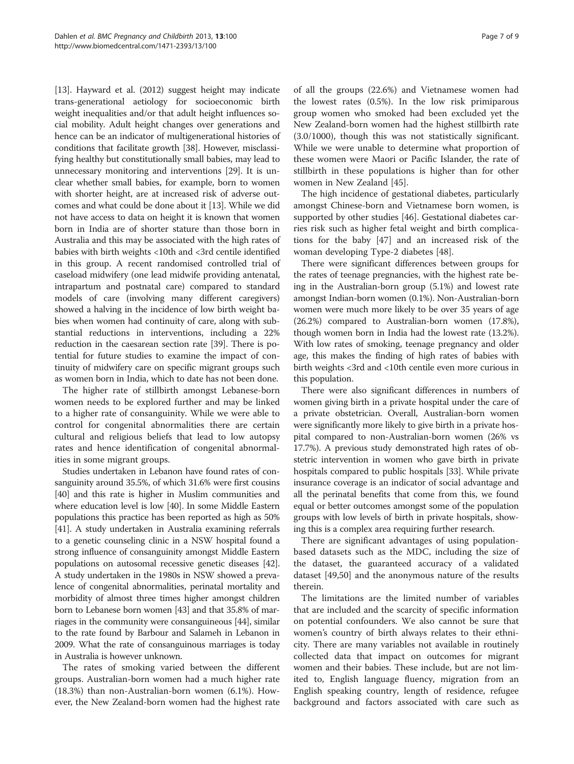[[13](#page-7-0)]. Hayward et al. (2012) suggest height may indicate trans-generational aetiology for socioeconomic birth weight inequalities and/or that adult height influences social mobility. Adult height changes over generations and hence can be an indicator of multigenerational histories of conditions that facilitate growth [[38](#page-8-0)]. However, misclassifying healthy but constitutionally small babies, may lead to unnecessary monitoring and interventions [\[29\]](#page-8-0). It is unclear whether small babies, for example, born to women with shorter height, are at increased risk of adverse outcomes and what could be done about it [[13](#page-7-0)]. While we did not have access to data on height it is known that women born in India are of shorter stature than those born in Australia and this may be associated with the high rates of babies with birth weights <10th and <3rd centile identified in this group. A recent randomised controlled trial of caseload midwifery (one lead midwife providing antenatal, intrapartum and postnatal care) compared to standard models of care (involving many different caregivers) showed a halving in the incidence of low birth weight babies when women had continuity of care, along with substantial reductions in interventions, including a 22% reduction in the caesarean section rate [[39](#page-8-0)]. There is potential for future studies to examine the impact of continuity of midwifery care on specific migrant groups such as women born in India, which to date has not been done.

The higher rate of stillbirth amongst Lebanese-born women needs to be explored further and may be linked to a higher rate of consanguinity. While we were able to control for congenital abnormalities there are certain cultural and religious beliefs that lead to low autopsy rates and hence identification of congenital abnormalities in some migrant groups.

Studies undertaken in Lebanon have found rates of consanguinity around 35.5%, of which 31.6% were first cousins [[40](#page-8-0)] and this rate is higher in Muslim communities and where education level is low [\[40\]](#page-8-0). In some Middle Eastern populations this practice has been reported as high as 50% [[41](#page-8-0)]. A study undertaken in Australia examining referrals to a genetic counseling clinic in a NSW hospital found a strong influence of consanguinity amongst Middle Eastern populations on autosomal recessive genetic diseases [\[42](#page-8-0)]. A study undertaken in the 1980s in NSW showed a prevalence of congenital abnormalities, perinatal mortality and morbidity of almost three times higher amongst children born to Lebanese born women [\[43\]](#page-8-0) and that 35.8% of marriages in the community were consanguineous [\[44\]](#page-8-0), similar to the rate found by Barbour and Salameh in Lebanon in 2009. What the rate of consanguinous marriages is today in Australia is however unknown.

The rates of smoking varied between the different groups. Australian-born women had a much higher rate (18.3%) than non-Australian-born women (6.1%). However, the New Zealand-born women had the highest rate of all the groups (22.6%) and Vietnamese women had the lowest rates (0.5%). In the low risk primiparous group women who smoked had been excluded yet the New Zealand-born women had the highest stillbirth rate (3.0/1000), though this was not statistically significant. While we were unable to determine what proportion of these women were Maori or Pacific Islander, the rate of stillbirth in these populations is higher than for other women in New Zealand [[45\]](#page-8-0).

The high incidence of gestational diabetes, particularly amongst Chinese-born and Vietnamese born women, is supported by other studies [[46\]](#page-8-0). Gestational diabetes carries risk such as higher fetal weight and birth complications for the baby [[47](#page-8-0)] and an increased risk of the woman developing Type-2 diabetes [[48\]](#page-8-0).

There were significant differences between groups for the rates of teenage pregnancies, with the highest rate being in the Australian-born group (5.1%) and lowest rate amongst Indian-born women (0.1%). Non-Australian-born women were much more likely to be over 35 years of age (26.2%) compared to Australian-born women (17.8%), though women born in India had the lowest rate (13.2%). With low rates of smoking, teenage pregnancy and older age, this makes the finding of high rates of babies with birth weights <3rd and <10th centile even more curious in this population.

There were also significant differences in numbers of women giving birth in a private hospital under the care of a private obstetrician. Overall, Australian-born women were significantly more likely to give birth in a private hospital compared to non-Australian-born women (26% vs 17.7%). A previous study demonstrated high rates of obstetric intervention in women who gave birth in private hospitals compared to public hospitals [\[33\]](#page-8-0). While private insurance coverage is an indicator of social advantage and all the perinatal benefits that come from this, we found equal or better outcomes amongst some of the population groups with low levels of birth in private hospitals, showing this is a complex area requiring further research.

There are significant advantages of using populationbased datasets such as the MDC, including the size of the dataset, the guaranteed accuracy of a validated dataset [\[49,50\]](#page-8-0) and the anonymous nature of the results therein.

The limitations are the limited number of variables that are included and the scarcity of specific information on potential confounders. We also cannot be sure that women's country of birth always relates to their ethnicity. There are many variables not available in routinely collected data that impact on outcomes for migrant women and their babies. These include, but are not limited to, English language fluency, migration from an English speaking country, length of residence, refugee background and factors associated with care such as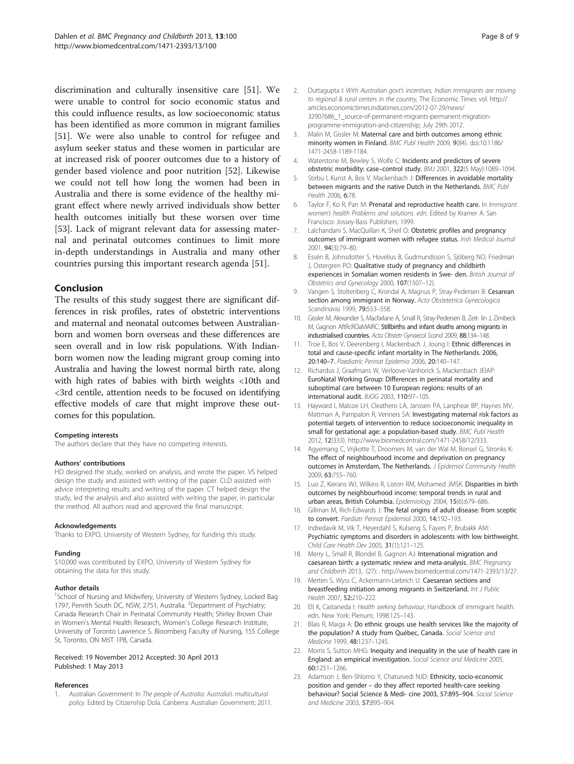<span id="page-7-0"></span>discrimination and culturally insensitive care [\[51\]](#page-8-0). We were unable to control for socio economic status and this could influence results, as low socioeconomic status has been identified as more common in migrant families [[51\]](#page-8-0). We were also unable to control for refugee and asylum seeker status and these women in particular are at increased risk of poorer outcomes due to a history of gender based violence and poor nutrition [[52\]](#page-8-0). Likewise we could not tell how long the women had been in Australia and there is some evidence of the healthy migrant effect where newly arrived individuals show better health outcomes initially but these worsen over time [[53\]](#page-8-0). Lack of migrant relevant data for assessing maternal and perinatal outcomes continues to limit more in-depth understandings in Australia and many other countries pursing this important research agenda [\[51](#page-8-0)].

# Conclusion

The results of this study suggest there are significant differences in risk profiles, rates of obstetric interventions and maternal and neonatal outcomes between Australianborn and women born overseas and these differences are seen overall and in low risk populations. With Indianborn women now the leading migrant group coming into Australia and having the lowest normal birth rate, along with high rates of babies with birth weights <10th and <3rd centile, attention needs to be focused on identifying effective models of care that might improve these outcomes for this population.

#### Competing interests

The authors declare that they have no competing interests.

#### Authors' contributions

HD designed the study, worked on analysis, and wrote the paper. VS helped design the study and assisted with writing of the paper. CLD assisted with advice interpreting results and writing of the paper. CT helped design the study, led the analysis and also assisted with writing the paper, in particular the method. All authors read and approved the final manuscript.

#### Acknowledgements

Thanks to EXPO, University of Western Sydney, for funding this study.

#### Funding

\$10,000 was contributed by EXPO, University of Western Sydney for obtaining the data for this study.

#### Author details

<sup>1</sup>School of Nursing and Midwifery, University of Western Sydney, Locked Bag 1797, Penrith South DC, NSW, 2751, Australia. <sup>2</sup>Department of Psychiatry; Canada Research Chair in Perinatal Community Health; Shirley Brown Chair in Women's Mental Health Research, Women's College Research Institute, University of Toronto Lawrence S. Bloomberg Faculty of Nursing, 155 College St, Toronto, ON M5T 1P8, Canada.

#### Received: 19 November 2012 Accepted: 30 April 2013 Published: 1 May 2013

#### References

1. Australian Government: In The people of Australia: Australia's multicultural policy. Edited by Citizenship Dola. Canberra: Australian Government; 2011.

- 2. Duttagupta I: With Australian govt's incentives, Indian immigrants are moving to regional & rural centers in the country, The Economic Times vol. [http://](http://articles.economictimes.indiatimes.com/2012-07-29/news/32907686_1_source-of-permanent-migrants-permanent-migration-programme-immigration-and-citizenship) [articles.economictimes.indiatimes.com/2012-07-29/news/](http://articles.economictimes.indiatimes.com/2012-07-29/news/32907686_1_source-of-permanent-migrants-permanent-migration-programme-immigration-and-citizenship) [32907686\\_1\\_source-of-permanent-migrants-permanent-migration](http://articles.economictimes.indiatimes.com/2012-07-29/news/32907686_1_source-of-permanent-migrants-permanent-migration-programme-immigration-and-citizenship)[programme-immigration-and-citizenship](http://articles.economictimes.indiatimes.com/2012-07-29/news/32907686_1_source-of-permanent-migrants-permanent-migration-programme-immigration-and-citizenship); July 29th 2012.
- 3. Malin M, Gissler M: Maternal care and birth outcomes among ethnic minority women in Finland. BMC Publ Health 2009, 9(84). doi[:10.1186/](http://dx.doi.org/10.1186/1471-2458-1189-1184) [1471-2458-1189-1184.](http://dx.doi.org/10.1186/1471-2458-1189-1184)
- 4. Waterstone M, Bewley S, Wolfe C: Incidents and predictors of severe obstetric morbidity: case–control study. BMJ 2001, 322(5 May):1089–1094.
- 5. Stirbu I, Kunst A, Bos V, Mackenbach J: Differences in avoidable mortality between migrants and the native Dutch in the Netherlands. BMC Publ Health 2006, 6:78.
- 6. Taylor F, Ko R, Pan M: Prenatal and reproductive health care. In Immigrant women's health Problems and solutions. edn. Edited by Kramer A. San Francisco: Jossey-Bass Publishers; 1999.
- 7. Lalchandani S, MacQuillan K, Sheil O: Obstetric profiles and pregnancy outcomes of immigrant women with refugee status. Irish Medical Journal 2001, 94(3):79–80.
- 8. Essén B, Johnsdotter S, Hovelius B, Gudmundsson S, Sjöberg NO, Friedman J, Ostergren PO: Qualitative study of pregnancy and childbirth experiences in Somalian women residents in Swe- den. British Journal of Obstetrics and Gynecology 2000, 107(1507–12).
- 9. Vangen S, Stoltenberg C, Krondal A, Magnus P, Stray-Pedersen B: Cesarean section among immigrant in Norway. Acta Obstetetrica Gynecologica Scandinavia 1999, 79:553–558.
- 10. Gissler M, Alexander S, Macfarlane A, Small R, Stray-Pedersen B, Zeit- lin J, Zimbeck M, Gagnon AftRcROaMAIRC: Stillbirths and infant deaths among migrants in industrialised countries. Acta Obstetr Gynaecol Scand 2009, 88:134–148.
- 11. Troe E, Bos V, Deerenberg I, Mackenbach J, Joung I: Ethnic differences in total and cause-specific infant mortality in The Netherlands. 2006, 20:140–7. Paediatric Perinat Epidemio 2006, 20:140–147.
- 12. Richardus J, Graafmans W, Verloove-Vanhorick S, Mackenbach JEIAP: EuroNatal Working Group: Differences in perinatal mortality and suboptimal care between 10 European regions: results of an international audit. BJOG 2003, 110:97–105.
- 13. Hayward I, Malcoe LH, Cleathero LA, Janssen PA, Lanphear BP, Haynes MV, Mattman A, Pampalon R, Venners SA: Investigating maternal risk factors as potential targets of intervention to reduce socioeconomic inequality in small for gestational age: a population-based study. BMC Publ Health 2012, 12(333). [http://www.biomedcentral.com/1471-2458/12/333.](http://www.biomedcentral.com/1471-2458/12/333)
- 14. Agyemang C, Vrijkotte T, Droomers M, van der Wal M, Bonsel G, Stronks K: The effect of neighbourhood income and deprivation on pregnancy outcomes in Amsterdam, The Netherlands. J Epidemiol Community Health 2009, 63:755–760.
- 15. Luo Z, Kierans WJ, Wilkins R, Liston RM, Mohamed JMSK: Disparities in birth outcomes by neighbourhood income: temporal trends in rural and urban areas, British Columbia. Epidemiology 2004, 15(6):679–686.
- 16. Gillman M, Rich-Edwards J: The fetal origins of adult disease: from sceptic to convert. Paediatr Perinat Epidemiol 2000, 14:192-193.
- 17. Indredavik M, Vik T, Heyerdahl S, Kulseng S, Fayers P, Brubakk AM: Psychiatric symptoms and disorders in adolescents with low birthweight. Child Care Health Dev 2005, 31(1):121–125.
- 18. Merry L, Small R, Blondel B, Gagnon AJ: International migration and caesarean birth: a systematic review and meta-analysis. BMC Pregnancy and Childbirth 2013, (27): . http://www.biomedcentral.com/1471-2393/13/27.
- 19. Merten S, Wyss C, Ackermann-Liebrich U: Caesarean sections and breastfeeding initiation among migrants in Switzerland. Int J Public Health 2007, 52:210–222.
- 20. Ell K, Castaneda I: Health seeking behaviour, Handbook of immigrant health. edn. New York: Plenum; 1998:125–143.
- 21. Blais R, Maiga A: Do ethnic groups use health services like the majority of the population? A study from Québec, Canada. Social Science and Medicine 1999, 48:1237–1245.
- 22. Morris S, Sutton MHG: Inequity and inequality in the use of health care in England: an empirical investigation. Social Science and Medicine 2005, 60:1251–1266.
- 23. Adamson J, Ben-Shlomo Y, Chaturvedi NJD: Ethnicity, socio-economic position and gender – do they affect reported health-care seeking behaviour? Social Science & Medi- cine 2003, 57:895–904. Social Science and Medicine 2003, 57:895–904.